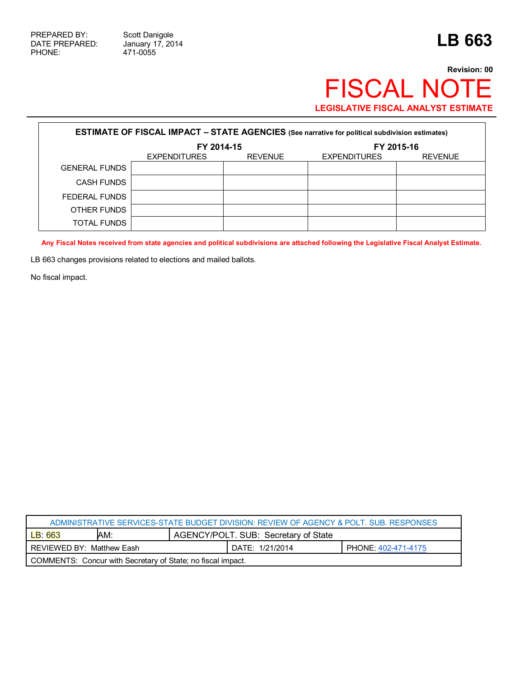471-0055

## **Revision: 00** FISCAL NOTE **LEGISLATIVE FISCAL ANALYST ESTIMATE**

| <b>ESTIMATE OF FISCAL IMPACT - STATE AGENCIES</b> (See narrative for political subdivision estimates) |                     |                |                     |                |  |
|-------------------------------------------------------------------------------------------------------|---------------------|----------------|---------------------|----------------|--|
|                                                                                                       | FY 2014-15          |                | FY 2015-16          |                |  |
|                                                                                                       | <b>EXPENDITURES</b> | <b>REVENUE</b> | <b>EXPENDITURES</b> | <b>REVENUE</b> |  |
| <b>GENERAL FUNDS</b>                                                                                  |                     |                |                     |                |  |
| <b>CASH FUNDS</b>                                                                                     |                     |                |                     |                |  |
| FEDERAL FUNDS                                                                                         |                     |                |                     |                |  |
| OTHER FUNDS                                                                                           |                     |                |                     |                |  |
| <b>TOTAL FUNDS</b>                                                                                    |                     |                |                     |                |  |

**Any Fiscal Notes received from state agencies and political subdivisions are attached following the Legislative Fiscal Analyst Estimate.**

LB 663 changes provisions related to elections and mailed ballots.

No fiscal impact.

| ADMINISTRATIVE SERVICES-STATE BUDGET DIVISION: REVIEW OF AGENCY & POLT. SUB. RESPONSES |     |                                      |                 |                     |  |
|----------------------------------------------------------------------------------------|-----|--------------------------------------|-----------------|---------------------|--|
| LB: 663                                                                                | AM: | AGENCY/POLT. SUB: Secretary of State |                 |                     |  |
| REVIEWED BY: Matthew Eash                                                              |     |                                      | DATE: 1/21/2014 | PHONE: 402-471-4175 |  |
| COMMENTS: Concur with Secretary of State; no fiscal impact.                            |     |                                      |                 |                     |  |